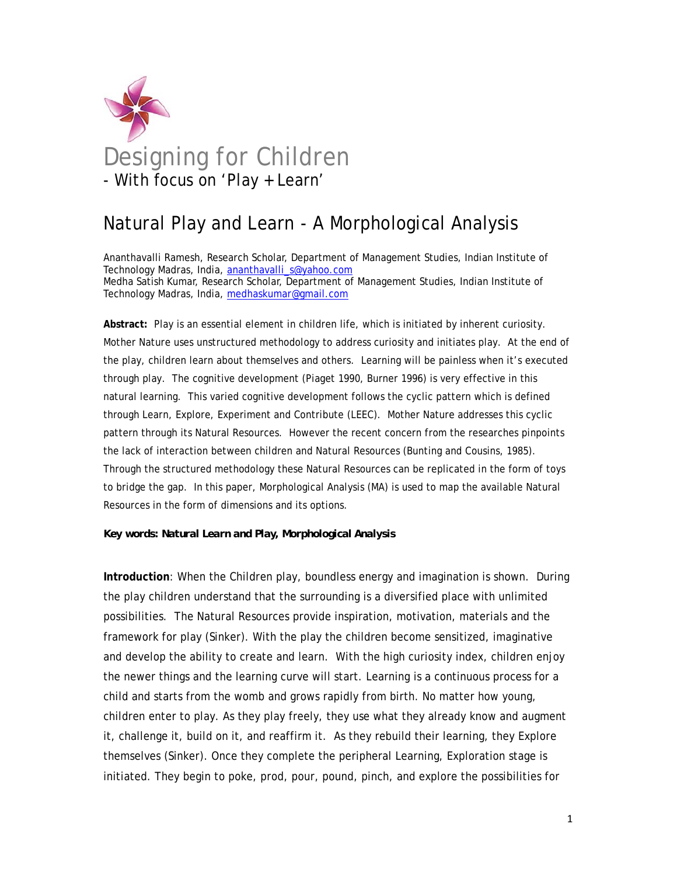

# Natural Play and Learn - A Morphological Analysis

Ananthavalli Ramesh, Research Scholar, Department of Management Studies, Indian Institute of Technology Madras, India, ananthavalli\_s@yahoo.com Medha Satish Kumar, Research Scholar, Department of Management Studies, Indian Institute of Technology Madras, India, medhaskumar@gmail.com

**Abstract:** Play is an essential element in children life, which is initiated by inherent curiosity. Mother Nature uses unstructured methodology to address curiosity and initiates play. At the end of the play, children learn about themselves and others. Learning will be painless when it's executed through play. The cognitive development (Piaget 1990, Burner 1996) is very effective in this natural learning. This varied cognitive development follows the cyclic pattern which is defined through Learn, Explore, Experiment and Contribute (LEEC). Mother Nature addresses this cyclic pattern through its Natural Resources. However the recent concern from the researches pinpoints the lack of interaction between children and Natural Resources (Bunting and Cousins, 1985). Through the structured methodology these Natural Resources can be replicated in the form of toys to bridge the gap. In this paper, Morphological Analysis (MA) is used to map the available Natural Resources in the form of dimensions and its options.

#### *Key words: Natural Learn and Play, Morphological Analysis*

**Introduction**: When the Children play, boundless energy and imagination is shown. During the play children understand that the surrounding is a diversified place with unlimited possibilities. The Natural Resources provide inspiration, motivation, materials and the framework for play (Sinker). With the play the children become sensitized, imaginative and develop the ability to create and learn. With the high curiosity index, children enjoy the newer things and the learning curve will start. Learning is a continuous process for a child and starts from the womb and grows rapidly from birth. No matter how young, children enter to play. As they play freely, they use what they already know and augment it, challenge it, build on it, and reaffirm it. As they rebuild their learning, they Explore themselves (Sinker). Once they complete the peripheral Learning, Exploration stage is initiated. They begin to poke, prod, pour, pound, pinch, and explore the possibilities for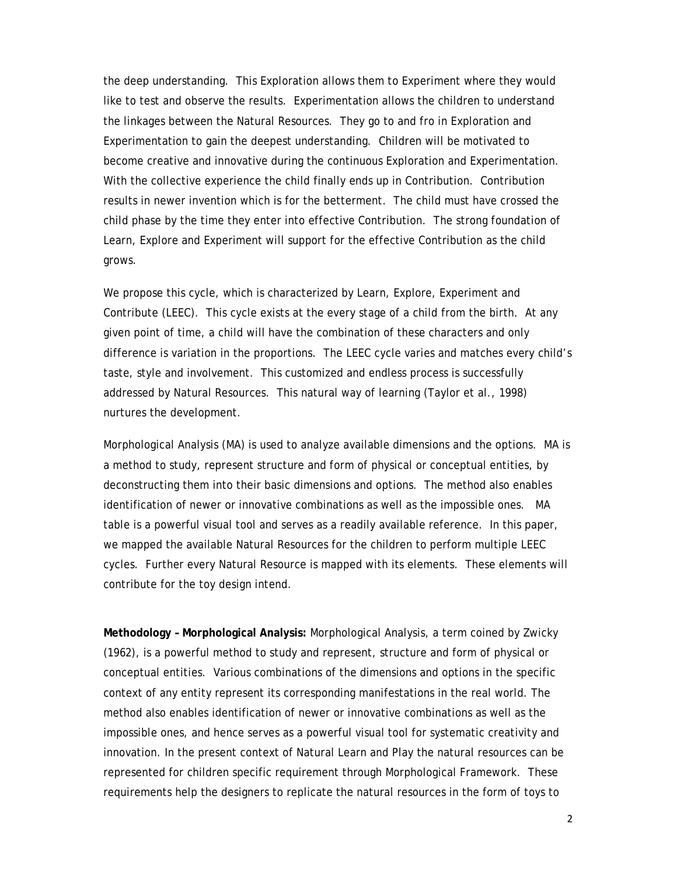the deep understanding. This Exploration allows them to Experiment where they would like to test and observe the results. Experimentation allows the children to understand the linkages between the Natural Resources. They go to and fro in Exploration and Experimentation to gain the deepest understanding. Children will be motivated to become creative and innovative during the continuous Exploration and Experimentation. With the collective experience the child finally ends up in Contribution. Contribution results in newer invention which is for the betterment. The child must have crossed the child phase by the time they enter into effective Contribution. The strong foundation of Learn, Explore and Experiment will support for the effective Contribution as the child grows.

We propose this cycle, which is characterized by Learn, Explore, Experiment and Contribute (LEEC). This cycle exists at the every stage of a child from the birth. At any given point of time, a child will have the combination of these characters and only difference is variation in the proportions. The LEEC cycle varies and matches every child's taste, style and involvement. This customized and endless process is successfully addressed by Natural Resources. This natural way of learning (Taylor et al., 1998) nurtures the development.

Morphological Analysis (MA) is used to analyze available dimensions and the options. MA is a method to study, represent structure and form of physical or conceptual entities, by deconstructing them into their basic dimensions and options. The method also enables identification of newer or innovative combinations as well as the impossible ones. MA table is a powerful visual tool and serves as a readily available reference. In this paper, we mapped the available Natural Resources for the children to perform multiple LEEC cycles. Further every Natural Resource is mapped with its elements. These elements will contribute for the toy design intend.

**Methodology – Morphological Analysis:** Morphological Analysis, a term coined by Zwicky (1962), is a powerful method to study and represent, structure and form of physical or conceptual entities. Various combinations of the dimensions and options in the specific context of any entity represent its corresponding manifestations in the real world. The method also enables identification of newer or innovative combinations as well as the impossible ones, and hence serves as a powerful visual tool for systematic creativity and innovation. In the present context of Natural Learn and Play the natural resources can be represented for children specific requirement through Morphological Framework. These requirements help the designers to replicate the natural resources in the form of toys to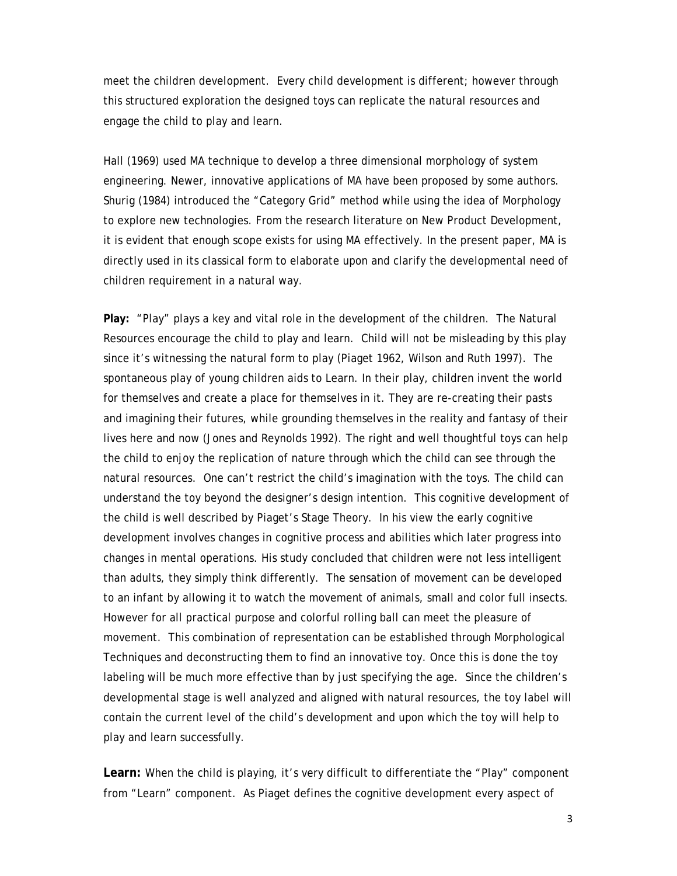meet the children development. Every child development is different; however through this structured exploration the designed toys can replicate the natural resources and engage the child to play and learn.

Hall (1969) used MA technique to develop a three dimensional morphology of system engineering. Newer, innovative applications of MA have been proposed by some authors. Shurig (1984) introduced the "Category Grid" method while using the idea of Morphology to explore new technologies. From the research literature on New Product Development, it is evident that enough scope exists for using MA effectively. In the present paper, MA is directly used in its classical form to elaborate upon and clarify the developmental need of children requirement in a natural way.

**Play:** "Play" plays a key and vital role in the development of the children. The Natural Resources encourage the child to play and learn. Child will not be misleading by this play since it's witnessing the natural form to play (Piaget 1962, Wilson and Ruth 1997). The spontaneous play of young children aids to Learn. In their play, children invent the world for themselves and create a place for themselves in it. They are re-creating their pasts and imagining their futures, while grounding themselves in the reality and fantasy of their lives here and now (Jones and Reynolds 1992). The right and well thoughtful toys can help the child to enjoy the replication of nature through which the child can see through the natural resources. One can't restrict the child's imagination with the toys. The child can understand the toy beyond the designer's design intention. This cognitive development of the child is well described by Piaget's Stage Theory. In his view the early cognitive development involves changes in cognitive process and abilities which later progress into changes in mental operations. His study concluded that children were not less intelligent than adults, they simply think differently. The sensation of movement can be developed to an infant by allowing it to watch the movement of animals, small and color full insects. However for all practical purpose and colorful rolling ball can meet the pleasure of movement. This combination of representation can be established through Morphological Techniques and deconstructing them to find an innovative toy. Once this is done the toy labeling will be much more effective than by just specifying the age. Since the children's developmental stage is well analyzed and aligned with natural resources, the toy label will contain the current level of the child's development and upon which the toy will help to play and learn successfully.

Learn: When the child is playing, it's very difficult to differentiate the "Play" component from "Learn" component. As Piaget defines the cognitive development every aspect of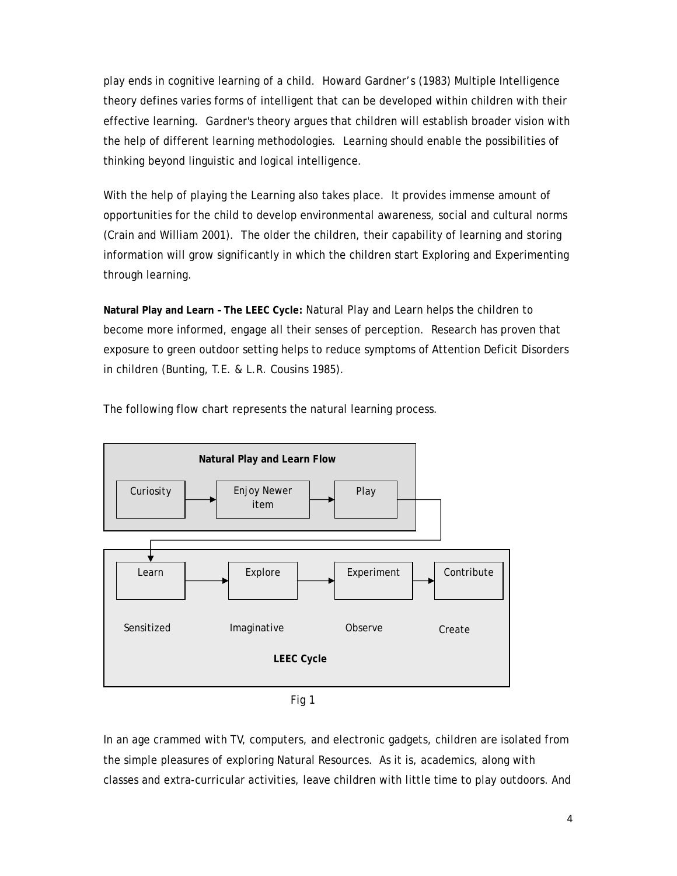play ends in cognitive learning of a child. Howard Gardner's (1983) Multiple Intelligence theory defines varies forms of intelligent that can be developed within children with their effective learning. Gardner's theory argues that children will establish broader vision with the help of different learning methodologies. Learning should enable the possibilities of thinking beyond linguistic and logical intelligence.

With the help of playing the Learning also takes place. It provides immense amount of opportunities for the child to develop environmental awareness, social and cultural norms (Crain and William 2001). The older the children, their capability of learning and storing information will grow significantly in which the children start Exploring and Experimenting through learning.

**Natural Play and Learn – The LEEC Cycle:** Natural Play and Learn helps the children to become more informed, engage all their senses of perception. Research has proven that exposure to green outdoor setting helps to reduce symptoms of Attention Deficit Disorders in children (Bunting, T.E. & L.R. Cousins 1985).



The following flow chart represents the natural learning process.

Fig 1

In an age crammed with TV, computers, and electronic gadgets, children are isolated from the simple pleasures of exploring Natural Resources. As it is, academics, along with classes and extra-curricular activities, leave children with little time to play outdoors. And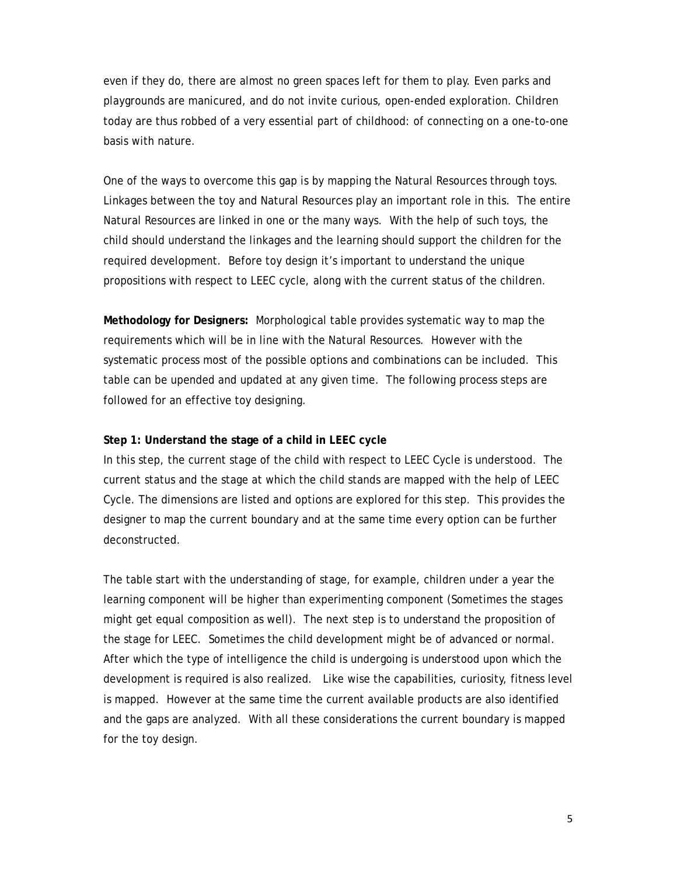even if they do, there are almost no green spaces left for them to play. Even parks and playgrounds are manicured, and do not invite curious, open-ended exploration. Children today are thus robbed of a very essential part of childhood: of connecting on a one-to-one basis with nature.

One of the ways to overcome this gap is by mapping the Natural Resources through toys. Linkages between the toy and Natural Resources play an important role in this. The entire Natural Resources are linked in one or the many ways. With the help of such toys, the child should understand the linkages and the learning should support the children for the required development. Before toy design it's important to understand the unique propositions with respect to LEEC cycle, along with the current status of the children.

**Methodology for Designers:** Morphological table provides systematic way to map the requirements which will be in line with the Natural Resources. However with the systematic process most of the possible options and combinations can be included. This table can be upended and updated at any given time. The following process steps are followed for an effective toy designing.

#### **Step 1: Understand the stage of a child in LEEC cycle**

In this step, the current stage of the child with respect to LEEC Cycle is understood. The current status and the stage at which the child stands are mapped with the help of LEEC Cycle. The dimensions are listed and options are explored for this step. This provides the designer to map the current boundary and at the same time every option can be further deconstructed.

The table start with the understanding of stage, for example, children under a year the learning component will be higher than experimenting component (Sometimes the stages might get equal composition as well). The next step is to understand the proposition of the stage for LEEC. Sometimes the child development might be of advanced or normal. After which the type of intelligence the child is undergoing is understood upon which the development is required is also realized. Like wise the capabilities, curiosity, fitness level is mapped. However at the same time the current available products are also identified and the gaps are analyzed. With all these considerations the current boundary is mapped for the toy design.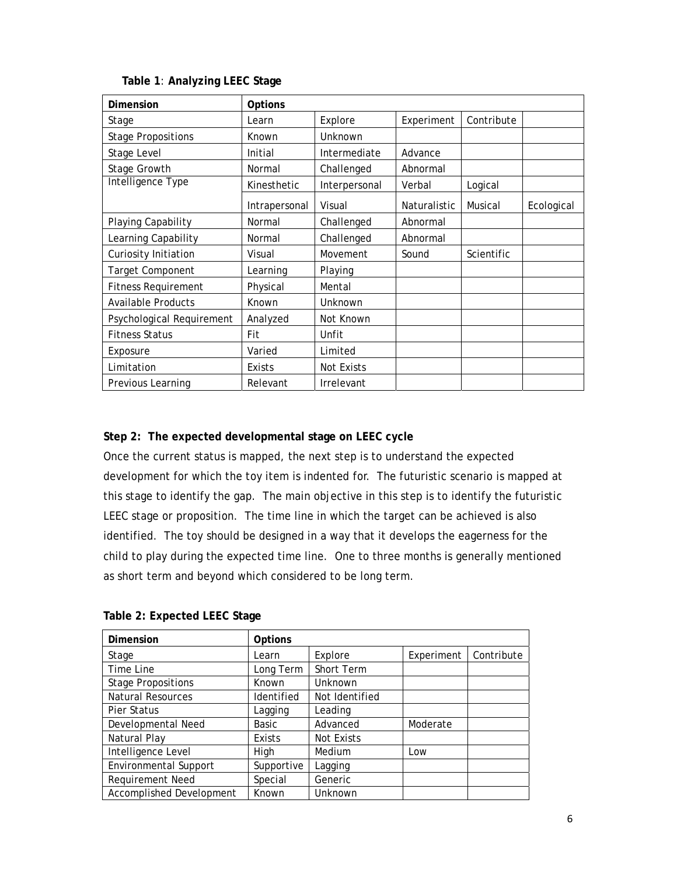| Dimension                  | Options       |                   |              |            |            |
|----------------------------|---------------|-------------------|--------------|------------|------------|
| Stage                      | Learn         | Explore           | Experiment   | Contribute |            |
| <b>Stage Propositions</b>  | Known         | Unknown           |              |            |            |
| Stage Level                | Initial       | Intermediate      | Advance      |            |            |
| Stage Growth               | Normal        | Challenged        | Abnormal     |            |            |
| Intelligence Type          | Kinesthetic   | Interpersonal     | Verbal       | Logical    |            |
|                            | Intrapersonal | Visual            | Naturalistic | Musical    | Ecological |
| Playing Capability         | Normal        | Challenged        | Abnormal     |            |            |
| Learning Capability        | Normal        | Challenged        | Abnormal     |            |            |
| Curiosity Initiation       | Visual        | Movement          | Sound        | Scientific |            |
| Target Component           | Learning      | Playing           |              |            |            |
| <b>Fitness Requirement</b> | Physical      | Mental            |              |            |            |
| <b>Available Products</b>  | Known         | Unknown           |              |            |            |
| Psychological Requirement  | Analyzed      | Not Known         |              |            |            |
| <b>Fitness Status</b>      | Fit           | Unfit             |              |            |            |
| Exposure                   | Varied        | Limited           |              |            |            |
| Limitation                 | Exists        | <b>Not Exists</b> |              |            |            |
| Previous Learning          | Relevant      | Irrelevant        |              |            |            |

## **Table 1**: **Analyzing LEEC Stage**

# **Step 2: The expected developmental stage on LEEC cycle**

Once the current status is mapped, the next step is to understand the expected development for which the toy item is indented for. The futuristic scenario is mapped at this stage to identify the gap. The main objective in this step is to identify the futuristic LEEC stage or proposition. The time line in which the target can be achieved is also identified. The toy should be designed in a way that it develops the eagerness for the child to play during the expected time line. One to three months is generally mentioned as short term and beyond which considered to be long term.

| Dimension                       | Options    |                |            |            |
|---------------------------------|------------|----------------|------------|------------|
| Stage                           | Learn      | Explore        | Experiment | Contribute |
| Time Line                       | Long Term  | Short Term     |            |            |
| <b>Stage Propositions</b>       | Known      | Unknown        |            |            |
| <b>Natural Resources</b>        | Identified | Not Identified |            |            |
| Pier Status                     | Lagging    | Leading        |            |            |
| Developmental Need              | Basic      | Advanced       | Moderate   |            |
| Natural Play                    | Exists     | Not Exists     |            |            |
| Intelligence Level              | High       | Medium         | Low        |            |
| <b>Environmental Support</b>    | Supportive | Lagging        |            |            |
| Requirement Need                | Special    | Generic        |            |            |
| <b>Accomplished Development</b> | Known      | Unknown        |            |            |

## **Table 2: Expected LEEC Stage**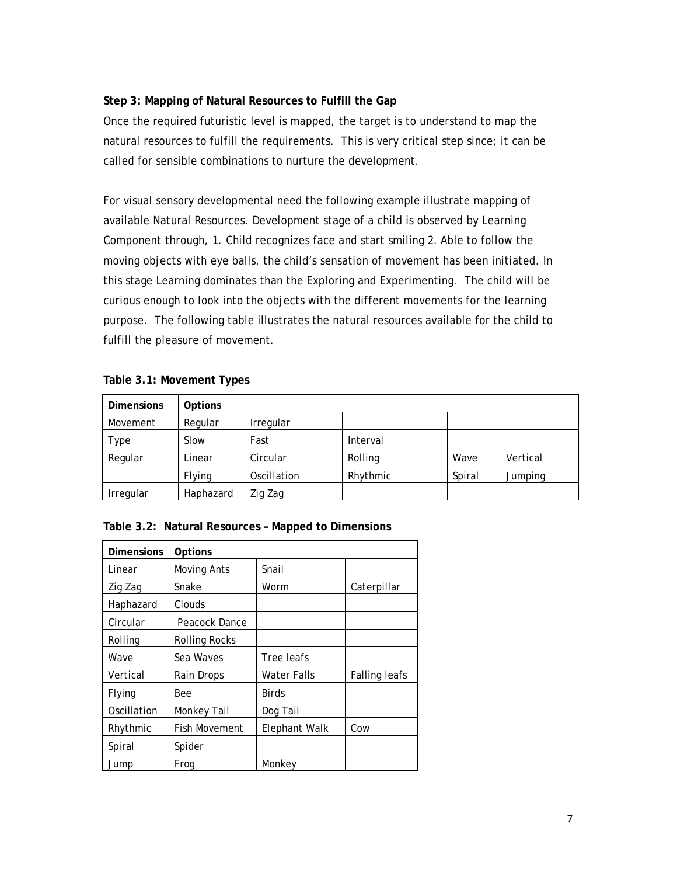# **Step 3: Mapping of Natural Resources to Fulfill the Gap**

Once the required futuristic level is mapped, the target is to understand to map the natural resources to fulfill the requirements. This is very critical step since; it can be called for sensible combinations to nurture the development.

For visual sensory developmental need the following example illustrate mapping of available Natural Resources. Development stage of a child is observed by Learning Component through, 1. Child recognizes face and start smiling 2. Able to follow the moving objects with eye balls, the child's sensation of movement has been initiated. In this stage Learning dominates than the Exploring and Experimenting. The child will be curious enough to look into the objects with the different movements for the learning purpose. The following table illustrates the natural resources available for the child to fulfill the pleasure of movement.

# **Table 3.1: Movement Types**

| <b>Dimensions</b> | <b>Options</b> |             |          |        |          |
|-------------------|----------------|-------------|----------|--------|----------|
| Movement          | Regular        | Irregular   |          |        |          |
| Type              | Slow           | Fast        | Interval |        |          |
| Regular           | Linear         | Circular    | Rolling  | Wave   | Vertical |
|                   | Flying         | Oscillation | Rhythmic | Spiral | Jumping  |
| Irregular         | Haphazard      | Zig Zag     |          |        |          |

| Table 3.2: Natural Resources - Mapped to Dimensions |  |  |  |  |  |  |
|-----------------------------------------------------|--|--|--|--|--|--|
|-----------------------------------------------------|--|--|--|--|--|--|

| <b>Dimensions</b> | Options              |               |                      |
|-------------------|----------------------|---------------|----------------------|
| Linear            | Moving Ants          | Snail         |                      |
| Zig Zag           | Snake                | Worm          | Caterpillar          |
| Haphazard         | Clouds               |               |                      |
| Circular          | Peacock Dance        |               |                      |
| Rolling           | Rolling Rocks        |               |                      |
| Wave              | Sea Waves            | Tree leafs    |                      |
| Vertical          | Rain Drops           | Water Falls   | <b>Falling leafs</b> |
| Flying            | <b>Bee</b>           | <b>Birds</b>  |                      |
| Oscillation       | Monkey Tail          | Dog Tail      |                      |
| Rhythmic          | <b>Fish Movement</b> | Elephant Walk | Cow                  |
| Spiral            | Spider               |               |                      |
| Jump              | Frog                 | Monkey        |                      |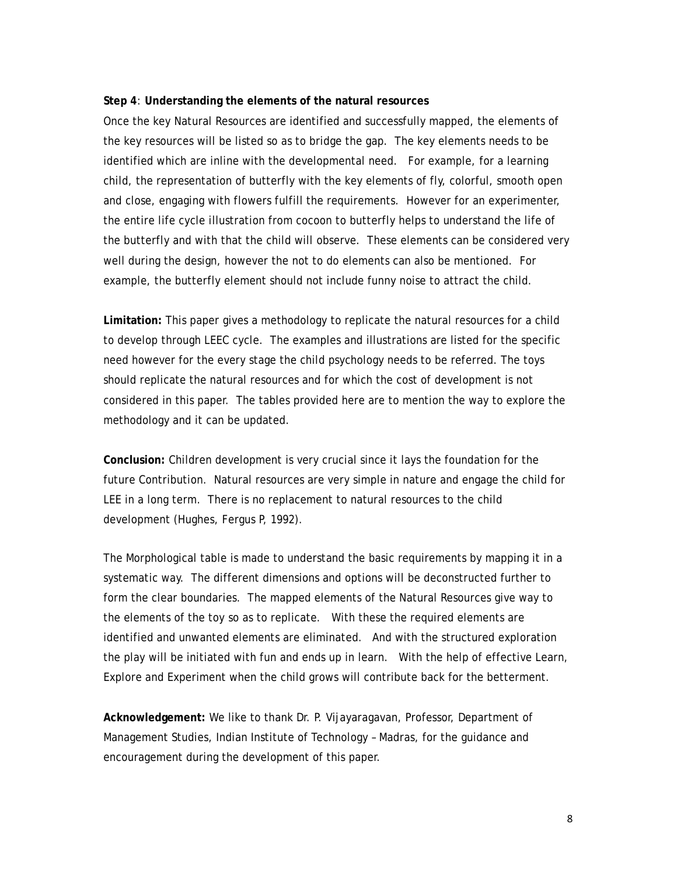#### **Step 4**: **Understanding the elements of the natural resources**

Once the key Natural Resources are identified and successfully mapped, the elements of the key resources will be listed so as to bridge the gap. The key elements needs to be identified which are inline with the developmental need. For example, for a learning child, the representation of butterfly with the key elements of fly, colorful, smooth open and close, engaging with flowers fulfill the requirements. However for an experimenter, the entire life cycle illustration from cocoon to butterfly helps to understand the life of the butterfly and with that the child will observe. These elements can be considered very well during the design, however the not to do elements can also be mentioned. For example, the butterfly element should not include funny noise to attract the child.

**Limitation:** This paper gives a methodology to replicate the natural resources for a child to develop through LEEC cycle. The examples and illustrations are listed for the specific need however for the every stage the child psychology needs to be referred. The toys should replicate the natural resources and for which the cost of development is not considered in this paper. The tables provided here are to mention the way to explore the methodology and it can be updated.

**Conclusion:** Children development is very crucial since it lays the foundation for the future Contribution. Natural resources are very simple in nature and engage the child for LEE in a long term. There is no replacement to natural resources to the child development (Hughes, Fergus P, 1992).

The Morphological table is made to understand the basic requirements by mapping it in a systematic way. The different dimensions and options will be deconstructed further to form the clear boundaries. The mapped elements of the Natural Resources give way to the elements of the toy so as to replicate. With these the required elements are identified and unwanted elements are eliminated. And with the structured exploration the play will be initiated with fun and ends up in learn. With the help of effective Learn, Explore and Experiment when the child grows will contribute back for the betterment.

**Acknowledgement:** We like to thank Dr. P. Vijayaragavan, Professor, Department of Management Studies, Indian Institute of Technology – Madras, for the guidance and encouragement during the development of this paper.